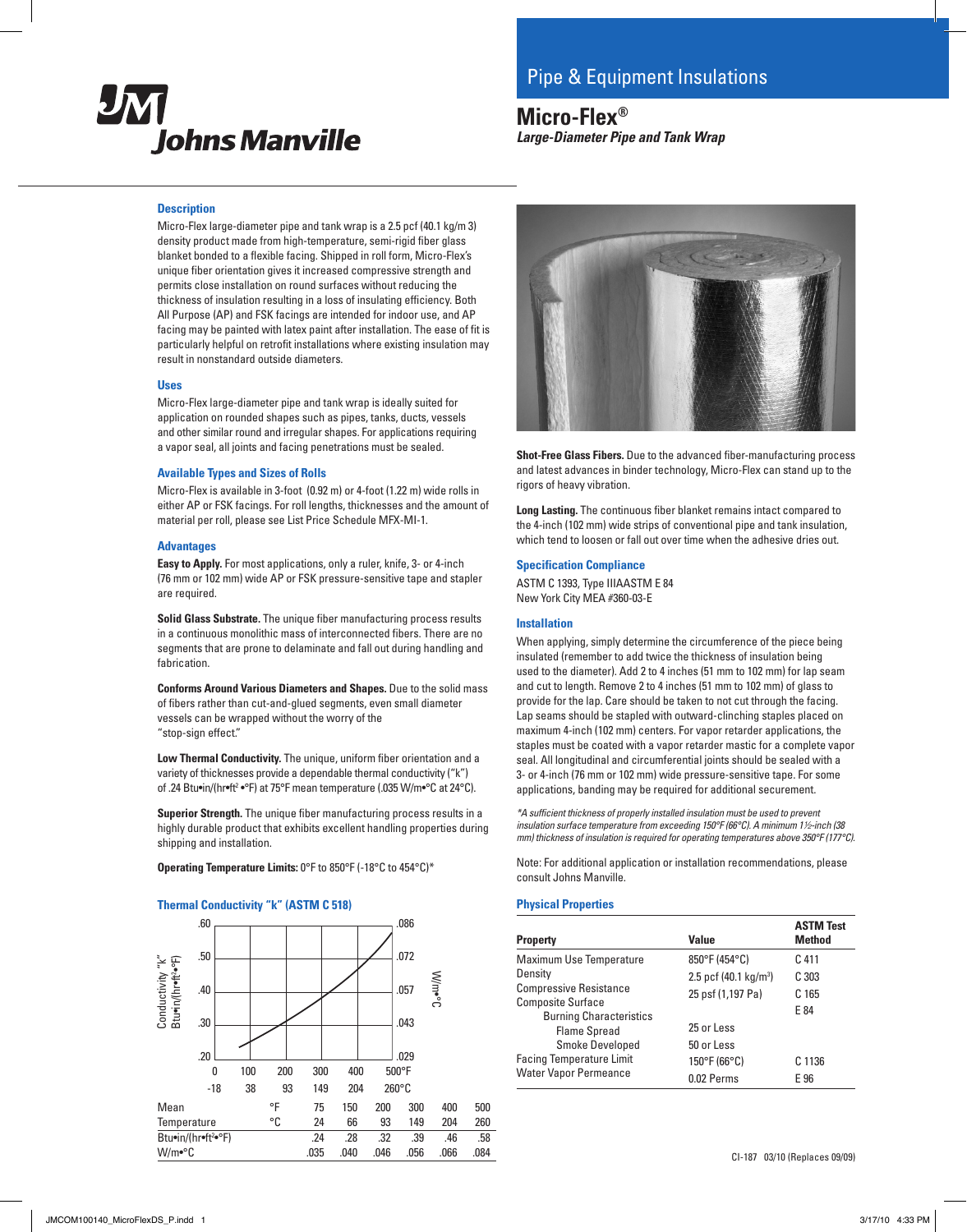

# **Micro-Flex®** *Large-Diameter Pipe and Tank Wrap*

### **Description**

Micro-Flex large-diameter pipe and tank wrap is a 2.5 pcf (40.1 kg/m 3) density product made from high-temperature, semi-rigid fiber glass blanket bonded to a flexible facing. Shipped in roll form, Micro-Flex's unique fiber orientation gives it increased compressive strength and permits close installation on round surfaces without reducing the thickness of insulation resulting in a loss of insulating efficiency. Both All Purpose (AP) and FSK facings are intended for indoor use, and AP facing may be painted with latex paint after installation. The ease of fit is particularly helpful on retrofit installations where existing insulation may result in nonstandard outside diameters.

#### **Uses**

Micro-Flex large-diameter pipe and tank wrap is ideally suited for application on rounded shapes such as pipes, tanks, ducts, vessels and other similar round and irregular shapes. For applications requiring a vapor seal, all joints and facing penetrations must be sealed.

#### **Available Types and Sizes of Rolls**

Micro-Flex is available in 3-foot (0.92 m) or 4-foot (1.22 m) wide rolls in either AP or FSK facings. For roll lengths, thicknesses and the amount of material per roll, please see List Price Schedule MFX-MI-1.

#### **Advantages**

**Easy to Apply.** For most applications, only a ruler, knife, 3- or 4-inch (76 mm or 102 mm) wide AP or FSK pressure-sensitive tape and stapler are required.

**Solid Glass Substrate.** The unique fiber manufacturing process results in a continuous monolithic mass of interconnected fibers. There are no segments that are prone to delaminate and fall out during handling and fabrication.

**Conforms Around Various Diameters and Shapes.** Due to the solid mass of fibers rather than cut-and-glued segments, even small diameter vessels can be wrapped without the worry of the "stop-sign effect."

**Low Thermal Conductivity.** The unique, uniform fiber orientation and a variety of thicknesses provide a dependable thermal conductivity ("k") of .24 Btu•in/(hr•ft² •°F) at 75°F mean temperature (.035 W/m•°C at 24°C).

**Superior Strength.** The unique fiber manufacturing process results in a highly durable product that exhibits excellent handling properties during shipping and installation.

**Operating Temperature Limits:** 0°F to 850°F (-18°C to 454°C)\*

## **Thermal Conductivity "k" (ASTM C 518)**





**Shot-Free Glass Fibers.** Due to the advanced fiber-manufacturing process and latest advances in binder technology, Micro-Flex can stand up to the rigors of heavy vibration.

**Long Lasting.** The continuous fiber blanket remains intact compared to the 4-inch (102 mm) wide strips of conventional pipe and tank insulation, which tend to loosen or fall out over time when the adhesive dries out.

## **Specification Compliance**

ASTM C 1393, Type IIIAASTM E 84 New York City MEA #360-03-E

#### **Installation**

When applying, simply determine the circumference of the piece being insulated (remember to add twice the thickness of insulation being used to the diameter). Add 2 to 4 inches (51 mm to 102 mm) for lap seam and cut to length. Remove 2 to 4 inches (51 mm to 102 mm) of glass to provide for the lap. Care should be taken to not cut through the facing. Lap seams should be stapled with outward-clinching staples placed on maximum 4-inch (102 mm) centers. For vapor retarder applications, the staples must be coated with a vapor retarder mastic for a complete vapor seal. All longitudinal and circumferential joints should be sealed with a 3- or 4-inch (76 mm or 102 mm) wide pressure-sensitive tape. For some applications, banding may be required for additional securement.

*\*A sufficient thickness of properly installed insulation must be used to prevent insulation surface temperature from exceeding 150°F (66°C). A minimum 1*2*-inch (38 mm) thickness of insulation is required for operating temperatures above 350°F (177°C).*

Note: For additional application or installation recommendations, please consult Johns Manville.

#### **Physical Properties**

| <b>Property</b>                                                                           | Value                                                  | <b>ASTM Test</b><br><b>Method</b>    |
|-------------------------------------------------------------------------------------------|--------------------------------------------------------|--------------------------------------|
| Maximum Use Temperature<br>Density                                                        | 850°F (454°C)                                          | C 411                                |
| <b>Compressive Resistance</b><br><b>Composite Surface</b>                                 | 2.5 pcf (40.1 kg/m <sup>3</sup> )<br>25 psf (1,197 Pa) | C <sub>303</sub><br>C <sub>165</sub> |
| <b>Burning Characteristics</b><br><b>Flame Spread</b>                                     | 25 or Less                                             | E 84                                 |
| <b>Smoke Developed</b><br><b>Facing Temperature Limit</b><br><b>Water Vapor Permeance</b> | 50 or Less<br>150°F (66°C)<br>0.02 Perms               | C 1136<br>E 96                       |